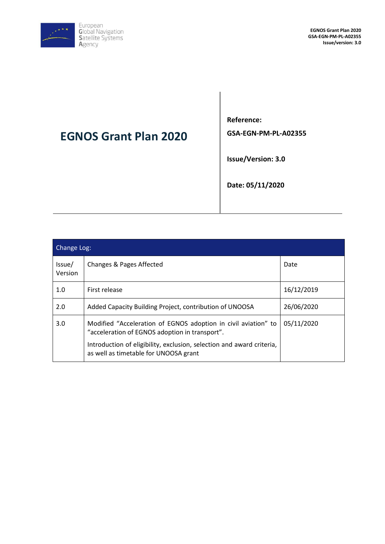

# **EGNOS Grant Plan 2020**

**Reference: GSA-EGN-PM-PL-A02355**

**Issue/Version: 3.0**

**Date: 05/11/2020**

| Change Log:       |                                                                                                                  |            |  |
|-------------------|------------------------------------------------------------------------------------------------------------------|------------|--|
| Issue/<br>Version | Changes & Pages Affected                                                                                         | Date       |  |
| 1.0               | First release                                                                                                    | 16/12/2019 |  |
| 2.0               | Added Capacity Building Project, contribution of UNOOSA                                                          | 26/06/2020 |  |
| 3.0               | Modified "Acceleration of EGNOS adoption in civil aviation" to<br>"acceleration of EGNOS adoption in transport". | 05/11/2020 |  |
|                   | Introduction of eligibility, exclusion, selection and award criteria,<br>as well as timetable for UNOOSA grant   |            |  |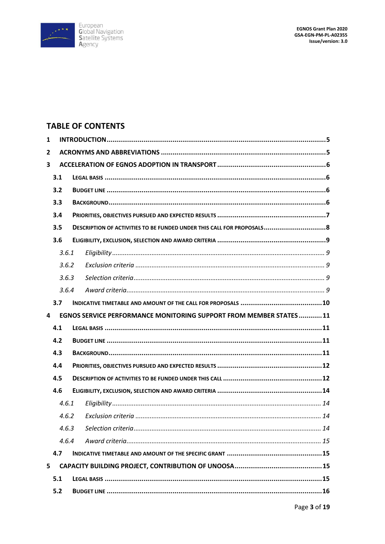

## **TABLE OF CONTENTS**

| 1                       |       |  |                                                                        |  |  |
|-------------------------|-------|--|------------------------------------------------------------------------|--|--|
| $\overline{2}$          |       |  |                                                                        |  |  |
| $\overline{\mathbf{3}}$ |       |  |                                                                        |  |  |
|                         | 3.1   |  |                                                                        |  |  |
|                         | 3.2   |  |                                                                        |  |  |
|                         | 3.3   |  |                                                                        |  |  |
|                         | 3.4   |  |                                                                        |  |  |
|                         | 3.5   |  | DESCRIPTION OF ACTIVITIES TO BE FUNDED UNDER THIS CALL FOR PROPOSALS 8 |  |  |
|                         | 3.6   |  |                                                                        |  |  |
|                         | 3.6.1 |  |                                                                        |  |  |
|                         | 3.6.2 |  |                                                                        |  |  |
|                         | 3.6.3 |  |                                                                        |  |  |
|                         | 3.6.4 |  |                                                                        |  |  |
|                         | 3.7   |  |                                                                        |  |  |
| 4                       |       |  | EGNOS SERVICE PERFORMANCE MONITORING SUPPORT FROM MEMBER STATES11      |  |  |
|                         | 4.1   |  |                                                                        |  |  |
|                         | 4.2   |  |                                                                        |  |  |
|                         | 4.3   |  |                                                                        |  |  |
|                         | 4.4   |  |                                                                        |  |  |
|                         | 4.5   |  |                                                                        |  |  |
|                         |       |  |                                                                        |  |  |
|                         | 4.6   |  |                                                                        |  |  |
|                         | 4.6.1 |  |                                                                        |  |  |
|                         | 4.6.2 |  |                                                                        |  |  |
|                         |       |  |                                                                        |  |  |
|                         | 4.6.4 |  |                                                                        |  |  |
|                         | 4.7   |  |                                                                        |  |  |
| 5                       |       |  |                                                                        |  |  |
|                         | 5.1   |  |                                                                        |  |  |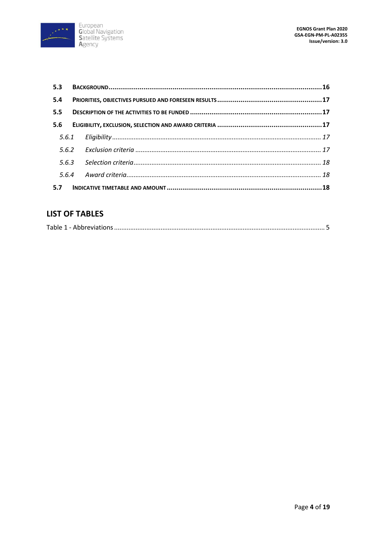

| 5.4 |  |  |
|-----|--|--|
| 5.5 |  |  |
| 5.6 |  |  |
|     |  |  |
|     |  |  |
|     |  |  |
|     |  |  |
|     |  |  |

## **LIST OF TABLES**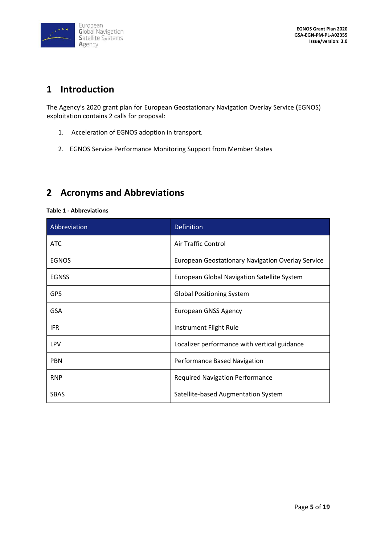

## **1 Introduction**

The Agency's 2020 grant plan for European Geostationary Navigation Overlay Service **(**EGNOS) exploitation contains 2 calls for proposal:

- 1. Acceleration of EGNOS adoption in transport.
- 2. EGNOS Service Performance Monitoring Support from Member States

## **2 Acronyms and Abbreviations**

#### **Table 1 - Abbreviations**

| Abbreviation | Definition                                        |
|--------------|---------------------------------------------------|
| <b>ATC</b>   | Air Traffic Control                               |
| <b>EGNOS</b> | European Geostationary Navigation Overlay Service |
| <b>EGNSS</b> | European Global Navigation Satellite System       |
| <b>GPS</b>   | <b>Global Positioning System</b>                  |
| <b>GSA</b>   | <b>European GNSS Agency</b>                       |
| <b>IFR</b>   | Instrument Flight Rule                            |
| <b>LPV</b>   | Localizer performance with vertical guidance      |
| <b>PBN</b>   | Performance Based Navigation                      |
| <b>RNP</b>   | <b>Required Navigation Performance</b>            |
| <b>SBAS</b>  | Satellite-based Augmentation System               |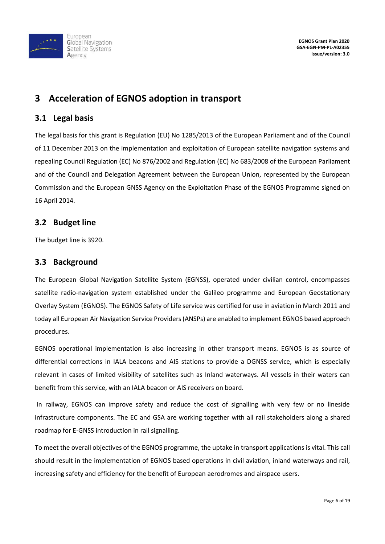

## **3 Acceleration of EGNOS adoption in transport**

#### **3.1 Legal basis**

The legal basis for this grant is Regulation (EU) No 1285/2013 of the European Parliament and of the Council of 11 December 2013 on the implementation and exploitation of European satellite navigation systems and repealing Council Regulation (EC) No 876/2002 and Regulation (EC) No 683/2008 of the European Parliament and of the Council and Delegation Agreement between the European Union, represented by the European Commission and the European GNSS Agency on the Exploitation Phase of the EGNOS Programme signed on 16 April 2014.

#### **3.2 Budget line**

The budget line is 3920.

#### **3.3 Background**

The European Global Navigation Satellite System (EGNSS), operated under civilian control, encompasses satellite radio-navigation system established under the Galileo programme and European Geostationary Overlay System (EGNOS). The EGNOS Safety of Life service was certified for use in aviation in March 2011 and today all European Air Navigation Service Providers (ANSPs) are enabled to implement EGNOS based approach procedures.

EGNOS operational implementation is also increasing in other transport means. EGNOS is as source of differential corrections in IALA beacons and AIS stations to provide a DGNSS service, which is especially relevant in cases of limited visibility of satellites such as Inland waterways. All vessels in their waters can benefit from this service, with an IALA beacon or AIS receivers on board.

In railway, EGNOS can improve safety and reduce the cost of signalling with very few or no lineside infrastructure components. The EC and GSA are working together with all rail stakeholders along a shared roadmap for E-GNSS introduction in rail signalling.

To meet the overall objectives of the EGNOS programme, the uptake in transport applications is vital. This call should result in the implementation of EGNOS based operations in civil aviation, inland waterways and rail, increasing safety and efficiency for the benefit of European aerodromes and airspace users.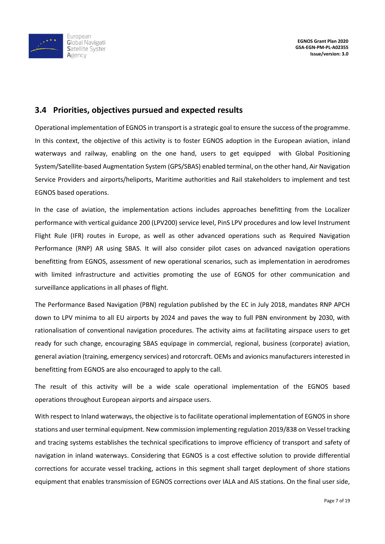

#### **3.4 Priorities, objectives pursued and expected results**

Operational implementation of EGNOS in transport is a strategic goal to ensure the success of the programme. In this context, the objective of this activity is to foster EGNOS adoption in the European aviation, inland waterways and railway, enabling on the one hand, users to get equipped with Global Positioning System/Satellite-based Augmentation System (GPS/SBAS) enabled terminal, on the other hand, Air Navigation Service Providers and airports/heliports, Maritime authorities and Rail stakeholders to implement and test EGNOS based operations.

In the case of aviation, the implementation actions includes approaches benefitting from the Localizer performance with vertical guidance 200 (LPV200) service level, PinS LPV procedures and low level Instrument Flight Rule (IFR) routes in Europe, as well as other advanced operations such as Required Navigation Performance (RNP) AR using SBAS. It will also consider pilot cases on advanced navigation operations benefitting from EGNOS, assessment of new operational scenarios, such as implementation in aerodromes with limited infrastructure and activities promoting the use of EGNOS for other communication and surveillance applications in all phases of flight.

The Performance Based Navigation (PBN) regulation published by the EC in July 2018, mandates RNP APCH down to LPV minima to all EU airports by 2024 and paves the way to full PBN environment by 2030, with rationalisation of conventional navigation procedures. The activity aims at facilitating airspace users to get ready for such change, encouraging SBAS equipage in commercial, regional, business (corporate) aviation, general aviation (training, emergency services) and rotorcraft. OEMs and avionics manufacturers interested in benefitting from EGNOS are also encouraged to apply to the call.

The result of this activity will be a wide scale operational implementation of the EGNOS based operations throughout European airports and airspace users.

With respect to Inland waterways, the objective is to facilitate operational implementation of EGNOS in shore stations and user terminal equipment. New commission implementing regulation 2019/838 on Vessel tracking and tracing systems establishes the technical specifications to improve efficiency of transport and safety of navigation in inland waterways. Considering that EGNOS is a cost effective solution to provide differential corrections for accurate vessel tracking, actions in this segment shall target deployment of shore stations equipment that enables transmission of EGNOS corrections over IALA and AIS stations. On the final user side,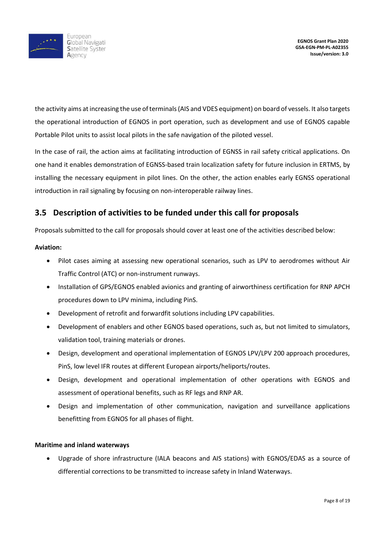

the activity aims at increasing the use of terminals (AIS and VDES equipment) on board of vessels. It also targets the operational introduction of EGNOS in port operation, such as development and use of EGNOS capable Portable Pilot units to assist local pilots in the safe navigation of the piloted vessel.

In the case of rail, the action aims at facilitating introduction of EGNSS in rail safety critical applications. On one hand it enables demonstration of EGNSS-based train localization safety for future inclusion in ERTMS, by installing the necessary equipment in pilot lines. On the other, the action enables early EGNSS operational introduction in rail signaling by focusing on non-interoperable railway lines.

### **3.5 Description of activities to be funded under this call for proposals**

Proposals submitted to the call for proposals should cover at least one of the activities described below:

#### **Aviation:**

- Pilot cases aiming at assessing new operational scenarios, such as LPV to aerodromes without Air Traffic Control (ATC) or non-instrument runways.
- Installation of GPS/EGNOS enabled avionics and granting of airworthiness certification for RNP APCH procedures down to LPV minima, including PinS.
- Development of retrofit and forwardfit solutions including LPV capabilities.
- Development of enablers and other EGNOS based operations, such as, but not limited to simulators, validation tool, training materials or drones.
- Design, development and operational implementation of EGNOS LPV/LPV 200 approach procedures, PinS, low level IFR routes at different European airports/heliports/routes.
- Design, development and operational implementation of other operations with EGNOS and assessment of operational benefits, such as RF legs and RNP AR.
- Design and implementation of other communication, navigation and surveillance applications benefitting from EGNOS for all phases of flight.

#### **Maritime and inland waterways**

• Upgrade of shore infrastructure (IALA beacons and AIS stations) with EGNOS/EDAS as a source of differential corrections to be transmitted to increase safety in Inland Waterways.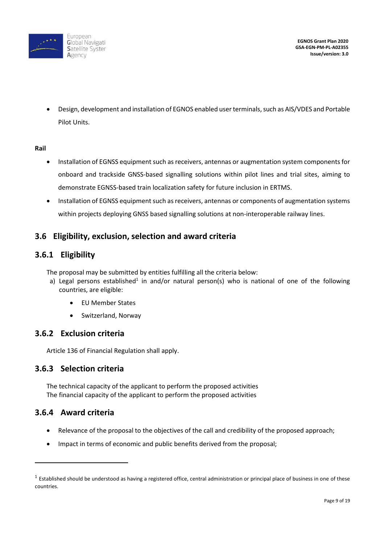

• Design, development and installation of EGNOS enabled user terminals, such as AIS/VDES and Portable Pilot Units.

#### **Rail**

- Installation of EGNSS equipment such as receivers, antennas or augmentation system components for onboard and trackside GNSS-based signalling solutions within pilot lines and trial sites, aiming to demonstrate EGNSS-based train localization safety for future inclusion in ERTMS.
- Installation of EGNSS equipment such as receivers, antennas or components of augmentation systems within projects deploying GNSS based signalling solutions at non-interoperable railway lines.

#### **3.6 Eligibility, exclusion, selection and award criteria**

#### **3.6.1 Eligibility**

- The proposal may be submitted by entities fulfilling all the criteria below:
	- a) Legal persons established<sup>1</sup> in and/or natural person(s) who is national of one of the following countries, are eligible:
		- EU Member States
		- Switzerland, Norway

#### **3.6.2 Exclusion criteria**

Article 136 of Financial Regulation shall apply.

#### **3.6.3 Selection criteria**

The technical capacity of the applicant to perform the proposed activities The financial capacity of the applicant to perform the proposed activities

### **3.6.4 Award criteria**

1

- Relevance of the proposal to the objectives of the call and credibility of the proposed approach;
- Impact in terms of economic and public benefits derived from the proposal;

 $^1$  Established should be understood as having a registered office, central administration or principal place of business in one of these countries.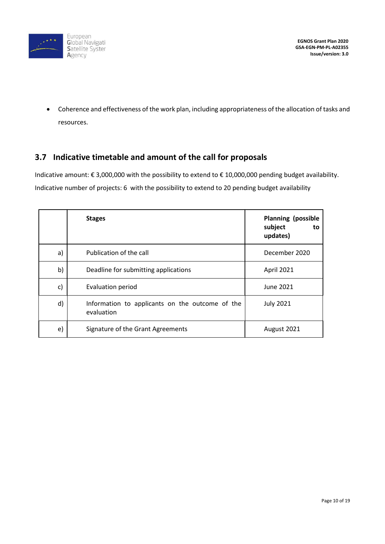

• Coherence and effectiveness of the work plan, including appropriateness of the allocation of tasks and resources.

### **3.7 Indicative timetable and amount of the call for proposals**

Indicative amount: € 3,000,000 with the possibility to extend to € 10,000,000 pending budget availability. Indicative number of projects: 6 with the possibility to extend to 20 pending budget availability

|    | <b>Stages</b>                                                 | <b>Planning (possible</b><br>subject<br>to<br>updates) |
|----|---------------------------------------------------------------|--------------------------------------------------------|
| a) | Publication of the call                                       | December 2020                                          |
| b) | Deadline for submitting applications                          | April 2021                                             |
| c) | Evaluation period                                             | June 2021                                              |
| d) | Information to applicants on the outcome of the<br>evaluation | <b>July 2021</b>                                       |
| e) | Signature of the Grant Agreements                             | August 2021                                            |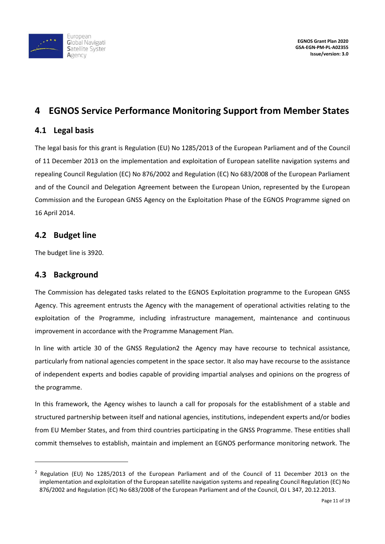

## **4 EGNOS Service Performance Monitoring Support from Member States**

#### **4.1 Legal basis**

The legal basis for this grant is Regulation (EU) No 1285/2013 of the European Parliament and of the Council of 11 December 2013 on the implementation and exploitation of European satellite navigation systems and repealing Council Regulation (EC) No 876/2002 and Regulation (EC) No 683/2008 of the European Parliament and of the Council and Delegation Agreement between the European Union, represented by the European Commission and the European GNSS Agency on the Exploitation Phase of the EGNOS Programme signed on 16 April 2014.

#### **4.2 Budget line**

The budget line is 3920.

### **4.3 Background**

 $\overline{a}$ 

The Commission has delegated tasks related to the EGNOS Exploitation programme to the European GNSS Agency. This agreement entrusts the Agency with the management of operational activities relating to the exploitation of the Programme, including infrastructure management, maintenance and continuous improvement in accordance with the Programme Management Plan.

In line with article 30 of the GNSS Regulation2 the Agency may have recourse to technical assistance, particularly from national agencies competent in the space sector. It also may have recourse to the assistance of independent experts and bodies capable of providing impartial analyses and opinions on the progress of the programme.

In this framework, the Agency wishes to launch a call for proposals for the establishment of a stable and structured partnership between itself and national agencies, institutions, independent experts and/or bodies from EU Member States, and from third countries participating in the GNSS Programme. These entities shall commit themselves to establish, maintain and implement an EGNOS performance monitoring network. The

 $<sup>2</sup>$  Regulation (EU) No 1285/2013 of the European Parliament and of the Council of 11 December 2013 on the</sup> implementation and exploitation of the European satellite navigation systems and repealing Council Regulation (EC) No 876/2002 and Regulation (EC) No 683/2008 of the European Parliament and of the Council, OJ L 347, 20.12.2013.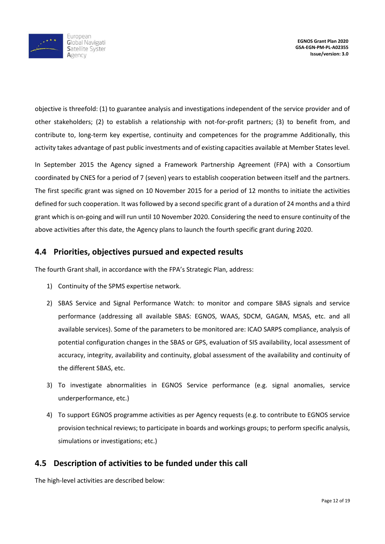

objective is threefold: (1) to guarantee analysis and investigations independent of the service provider and of other stakeholders; (2) to establish a relationship with not-for-profit partners; (3) to benefit from, and contribute to, long-term key expertise, continuity and competences for the programme Additionally, this activity takes advantage of past public investments and of existing capacities available at Member States level.

In September 2015 the Agency signed a Framework Partnership Agreement (FPA) with a Consortium coordinated by CNES for a period of 7 (seven) years to establish cooperation between itself and the partners. The first specific grant was signed on 10 November 2015 for a period of 12 months to initiate the activities defined for such cooperation. It was followed by a second specific grant of a duration of 24 months and a third grant which is on-going and will run until 10 November 2020. Considering the need to ensure continuity of the above activities after this date, the Agency plans to launch the fourth specific grant during 2020.

### **4.4 Priorities, objectives pursued and expected results**

The fourth Grant shall, in accordance with the FPA's Strategic Plan, address:

- 1) Continuity of the SPMS expertise network.
- 2) SBAS Service and Signal Performance Watch: to monitor and compare SBAS signals and service performance (addressing all available SBAS: EGNOS, WAAS, SDCM, GAGAN, MSAS, etc. and all available services). Some of the parameters to be monitored are: ICAO SARPS compliance, analysis of potential configuration changes in the SBAS or GPS, evaluation of SIS availability, local assessment of accuracy, integrity, availability and continuity, global assessment of the availability and continuity of the different SBAS, etc.
- 3) To investigate abnormalities in EGNOS Service performance (e.g. signal anomalies, service underperformance, etc.)
- 4) To support EGNOS programme activities as per Agency requests (e.g. to contribute to EGNOS service provision technical reviews; to participate in boards and workings groups; to perform specific analysis, simulations or investigations; etc.)

### **4.5 Description of activities to be funded under this call**

The high-level activities are described below: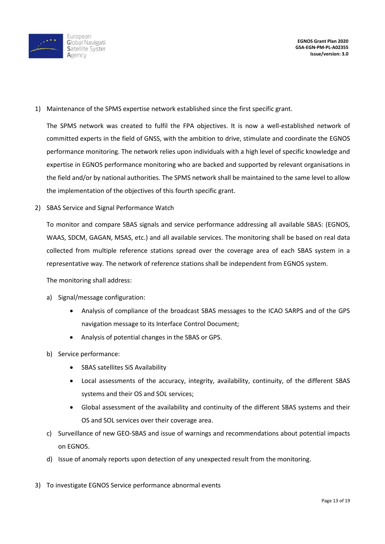

1) Maintenance of the SPMS expertise network established since the first specific grant.

The SPMS network was created to fulfil the FPA objectives. It is now a well-established network of committed experts in the field of GNSS, with the ambition to drive, stimulate and coordinate the EGNOS performance monitoring. The network relies upon individuals with a high level of specific knowledge and expertise in EGNOS performance monitoring who are backed and supported by relevant organisations in the field and/or by national authorities. The SPMS network shall be maintained to the same level to allow the implementation of the objectives of this fourth specific grant.

2) SBAS Service and Signal Performance Watch

To monitor and compare SBAS signals and service performance addressing all available SBAS: (EGNOS, WAAS, SDCM, GAGAN, MSAS, etc.) and all available services. The monitoring shall be based on real data collected from multiple reference stations spread over the coverage area of each SBAS system in a representative way. The network of reference stations shall be independent from EGNOS system.

The monitoring shall address:

- a) Signal/message configuration:
	- Analysis of compliance of the broadcast SBAS messages to the ICAO SARPS and of the GPS navigation message to its Interface Control Document;
	- Analysis of potential changes in the SBAS or GPS.
- b) Service performance:
	- SBAS satellites SiS Availability
	- Local assessments of the accuracy, integrity, availability, continuity, of the different SBAS systems and their OS and SOL services;
	- Global assessment of the availability and continuity of the different SBAS systems and their OS and SOL services over their coverage area.
- c) Surveillance of new GEO-SBAS and issue of warnings and recommendations about potential impacts on EGNOS.
- d) Issue of anomaly reports upon detection of any unexpected result from the monitoring.
- 3) To investigate EGNOS Service performance abnormal events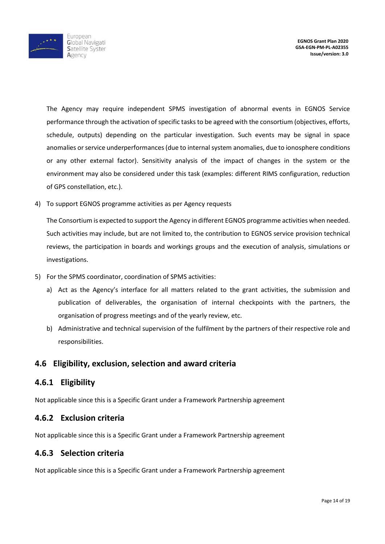

The Agency may require independent SPMS investigation of abnormal events in EGNOS Service performance through the activation of specific tasks to be agreed with the consortium (objectives, efforts, schedule, outputs) depending on the particular investigation. Such events may be signal in space anomalies or service underperformances (due to internal system anomalies, due to ionosphere conditions or any other external factor). Sensitivity analysis of the impact of changes in the system or the environment may also be considered under this task (examples: different RIMS configuration, reduction of GPS constellation, etc.).

4) To support EGNOS programme activities as per Agency requests

The Consortium is expected to support the Agency in different EGNOS programme activities when needed. Such activities may include, but are not limited to, the contribution to EGNOS service provision technical reviews, the participation in boards and workings groups and the execution of analysis, simulations or investigations.

- 5) For the SPMS coordinator, coordination of SPMS activities:
	- a) Act as the Agency's interface for all matters related to the grant activities, the submission and publication of deliverables, the organisation of internal checkpoints with the partners, the organisation of progress meetings and of the yearly review, etc.
	- b) Administrative and technical supervision of the fulfilment by the partners of their respective role and responsibilities.

#### **4.6 Eligibility, exclusion, selection and award criteria**

#### **4.6.1 Eligibility**

Not applicable since this is a Specific Grant under a Framework Partnership agreement

#### **4.6.2 Exclusion criteria**

Not applicable since this is a Specific Grant under a Framework Partnership agreement

#### **4.6.3 Selection criteria**

Not applicable since this is a Specific Grant under a Framework Partnership agreement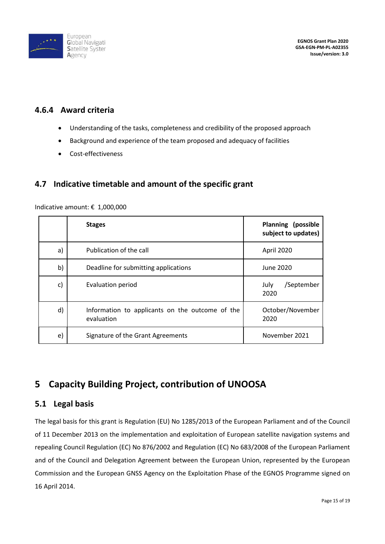

### **4.6.4 Award criteria**

- Understanding of the tasks, completeness and credibility of the proposed approach
- Background and experience of the team proposed and adequacy of facilities
- Cost-effectiveness

### **4.7 Indicative timetable and amount of the specific grant**

|    | <b>Stages</b>                                                 | <b>Planning (possible</b><br>subject to updates) |
|----|---------------------------------------------------------------|--------------------------------------------------|
| a) | Publication of the call                                       | April 2020                                       |
| b) | Deadline for submitting applications                          | June 2020                                        |
| c) | Evaluation period                                             | /September<br>July<br>2020                       |
| d) | Information to applicants on the outcome of the<br>evaluation | October/November<br>2020                         |
| e) | Signature of the Grant Agreements                             | November 2021                                    |

Indicative amount: € 1,000,000

## **5 Capacity Building Project, contribution of UNOOSA**

#### **5.1 Legal basis**

The legal basis for this grant is Regulation (EU) No 1285/2013 of the European Parliament and of the Council of 11 December 2013 on the implementation and exploitation of European satellite navigation systems and repealing Council Regulation (EC) No 876/2002 and Regulation (EC) No 683/2008 of the European Parliament and of the Council and Delegation Agreement between the European Union, represented by the European Commission and the European GNSS Agency on the Exploitation Phase of the EGNOS Programme signed on 16 April 2014.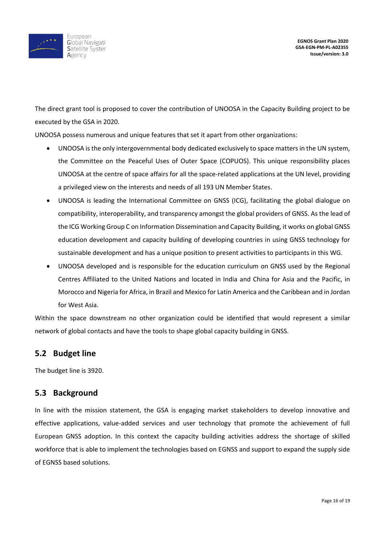

The direct grant tool is proposed to cover the contribution of UNOOSA in the Capacity Building project to be executed by the GSA in 2020.

UNOOSA possess numerous and unique features that set it apart from other organizations:

- UNOOSA is the only intergovernmental body dedicated exclusively to space matters in the UN system, the Committee on the Peaceful Uses of Outer Space (COPUOS). This unique responsibility places UNOOSA at the centre of space affairs for all the space-related applications at the UN level, providing a privileged view on the interests and needs of all 193 UN Member States.
- UNOOSA is leading the International Committee on GNSS (ICG), facilitating the global dialogue on compatibility, interoperability, and transparency amongst the global providers of GNSS. As the lead of the ICG Working Group C on Information Dissemination and Capacity Building, it works on global GNSS education development and capacity building of developing countries in using GNSS technology for sustainable development and has a unique position to present activities to participants in this WG.
- UNOOSA developed and is responsible for the education curriculum on GNSS used by the Regional Centres Affiliated to the United Nations and located in India and China for Asia and the Pacific, in Morocco and Nigeria for Africa, in Brazil and Mexico for Latin America and the Caribbean and in Jordan for West Asia.

Within the space downstream no other organization could be identified that would represent a similar network of global contacts and have the tools to shape global capacity building in GNSS.

#### **5.2 Budget line**

The budget line is 3920.

#### **5.3 Background**

In line with the mission statement, the GSA is engaging market stakeholders to develop innovative and effective applications, value-added services and user technology that promote the achievement of full European GNSS adoption. In this context the capacity building activities address the shortage of skilled workforce that is able to implement the technologies based on EGNSS and support to expand the supply side of EGNSS based solutions.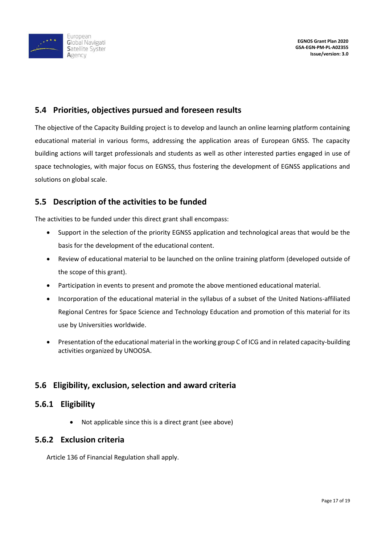

### **5.4 Priorities, objectives pursued and foreseen results**

The objective of the Capacity Building project is to develop and launch an online learning platform containing educational material in various forms, addressing the application areas of European GNSS. The capacity building actions will target professionals and students as well as other interested parties engaged in use of space technologies, with major focus on EGNSS, thus fostering the development of EGNSS applications and solutions on global scale.

### **5.5 Description of the activities to be funded**

The activities to be funded under this direct grant shall encompass:

- Support in the selection of the priority EGNSS application and technological areas that would be the basis for the development of the educational content.
- Review of educational material to be launched on the online training platform (developed outside of the scope of this grant).
- Participation in events to present and promote the above mentioned educational material.
- Incorporation of the educational material in the syllabus of a subset of the United Nations-affiliated Regional Centres for Space Science and Technology Education and promotion of this material for its use by Universities worldwide.
- Presentation of the educational material in the working group C of ICG and in related capacity-building activities organized by UNOOSA.

### **5.6 Eligibility, exclusion, selection and award criteria**

### **5.6.1 Eligibility**

• Not applicable since this is a direct grant (see above)

#### **5.6.2 Exclusion criteria**

Article 136 of Financial Regulation shall apply.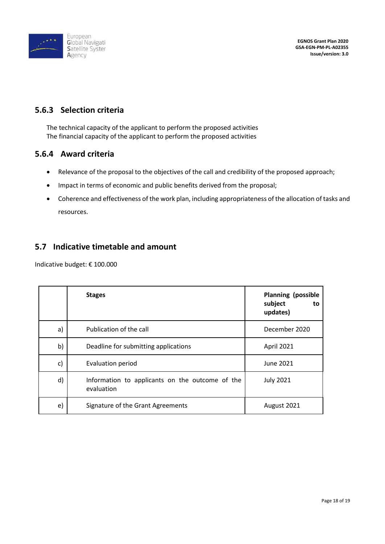

**EGNOS Grant Plan 2020 GSA-EGN-PM-PL-A02355 Issue/version: 3.0**

### **5.6.3 Selection criteria**

The technical capacity of the applicant to perform the proposed activities The financial capacity of the applicant to perform the proposed activities

#### **5.6.4 Award criteria**

- Relevance of the proposal to the objectives of the call and credibility of the proposed approach;
- Impact in terms of economic and public benefits derived from the proposal;
- Coherence and effectiveness of the work plan, including appropriateness of the allocation of tasks and resources.

### **5.7 Indicative timetable and amount**

Indicative budget: € 100.000

|    | <b>Stages</b>                                                 | <b>Planning (possible</b><br>subject<br>to<br>updates) |
|----|---------------------------------------------------------------|--------------------------------------------------------|
| a) | Publication of the call                                       | December 2020                                          |
| b) | Deadline for submitting applications                          | April 2021                                             |
| c) | Evaluation period                                             | June 2021                                              |
| d) | Information to applicants on the outcome of the<br>evaluation | <b>July 2021</b>                                       |
| e) | Signature of the Grant Agreements                             | August 2021                                            |